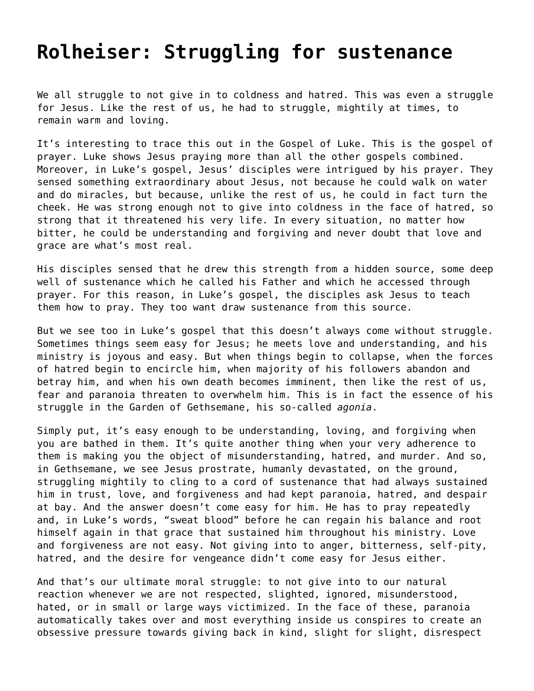## **[Rolheiser: Struggling for sustenance](https://grandinmedia.ca/struggling-for-sustenance/)**

We all struggle to not give in to coldness and hatred. This was even a struggle for Jesus. Like the rest of us, he had to struggle, mightily at times, to remain warm and loving.

It's interesting to trace this out in the Gospel of Luke. This is the gospel of prayer. Luke shows Jesus praying more than all the other gospels combined. Moreover, in Luke's gospel, Jesus' disciples were intrigued by his prayer. They sensed something extraordinary about Jesus, not because he could walk on water and do miracles, but because, unlike the rest of us, he could in fact turn the cheek. He was strong enough not to give into coldness in the face of hatred, so strong that it threatened his very life. In every situation, no matter how bitter, he could be understanding and forgiving and never doubt that love and grace are what's most real.

His disciples sensed that he drew this strength from a hidden source, some deep well of sustenance which he called his Father and which he accessed through prayer. For this reason, in Luke's gospel, the disciples ask Jesus to teach them how to pray. They too want draw sustenance from this source.

But we see too in Luke's gospel that this doesn't always come without struggle. Sometimes things seem easy for Jesus; he meets love and understanding, and his ministry is joyous and easy. But when things begin to collapse, when the forces of hatred begin to encircle him, when majority of his followers abandon and betray him, and when his own death becomes imminent, then like the rest of us, fear and paranoia threaten to overwhelm him. This is in fact the essence of his struggle in the Garden of Gethsemane, his so-called *agonia*.

Simply put, it's easy enough to be understanding, loving, and forgiving when you are bathed in them. It's quite another thing when your very adherence to them is making you the object of misunderstanding, hatred, and murder. And so, in Gethsemane, we see Jesus prostrate, humanly devastated, on the ground, struggling mightily to cling to a cord of sustenance that had always sustained him in trust, love, and forgiveness and had kept paranoia, hatred, and despair at bay. And the answer doesn't come easy for him. He has to pray repeatedly and, in Luke's words, "sweat blood" before he can regain his balance and root himself again in that grace that sustained him throughout his ministry. Love and forgiveness are not easy. Not giving into to anger, bitterness, self-pity, hatred, and the desire for vengeance didn't come easy for Jesus either.

And that's our ultimate moral struggle: to not give into to our natural reaction whenever we are not respected, slighted, ignored, misunderstood, hated, or in small or large ways victimized. In the face of these, paranoia automatically takes over and most everything inside us conspires to create an obsessive pressure towards giving back in kind, slight for slight, disrespect